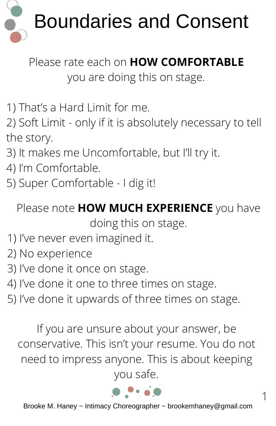

Please rate each on **HOW COMFORTABLE** you are doing this on stage.

1) That's a Hard Limit for me.

2) Soft Limit - only if it is absolutely necessary to tell the story.

- 3) It makes me Uncomfortable, but I'll try it.
- 4) I'm Comfortable.
- 5) Super Comfortable I dig it!

Please note **HOW MUCH EXPERIENCE** you have doing this on stage.

- 1) I've never even imagined it.
- 2) No experience
- 3) I've done it once on stage.
- 4) I've done it one to three times on stage.
- 5) I've done it upwards of three times on stage.

If you are unsure about your answer, be conservative. This isn't your resume. You do not need to impress anyone. This is about keeping you safe.



1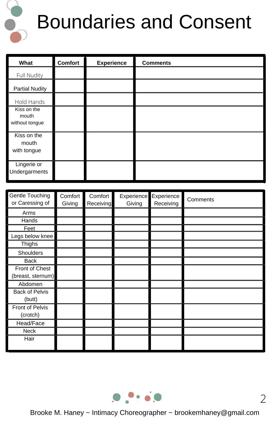

## Boundaries and Consent

| What                                   | <b>Comfort</b>    | <b>Experience</b>    |            |        | <b>Comments</b>         |          |
|----------------------------------------|-------------------|----------------------|------------|--------|-------------------------|----------|
| Full Nudity                            |                   |                      |            |        |                         |          |
| <b>Partial Nudity</b>                  |                   |                      |            |        |                         |          |
| Hold Hands                             |                   |                      |            |        |                         |          |
| Kiss on the<br>mouth<br>without tongue |                   |                      |            |        |                         |          |
| Kiss on the<br>mouth<br>with tongue    |                   |                      |            |        |                         |          |
| Lingerie or<br>Undergarments           |                   |                      |            |        |                         |          |
|                                        |                   |                      |            |        |                         |          |
| Gentle Touching<br>or Caressing of     | Comfort<br>Givina | Comfort<br>Receiving | Experience | Givina | Experience<br>Receiving | Comments |

| OUNIU TUUUMIN<br>or Caressing of    | <b>COLLIUL</b><br>Giving | COLLINDIL<br>Receiving | EVPETICITCE EXPETICITCE<br>Giving | Receiving | Comments |
|-------------------------------------|--------------------------|------------------------|-----------------------------------|-----------|----------|
| Arms                                |                          |                        |                                   |           |          |
| Hands                               |                          |                        |                                   |           |          |
| Feet                                |                          |                        |                                   |           |          |
| Legs below knee                     |                          |                        |                                   |           |          |
| Thighs                              |                          |                        |                                   |           |          |
| Shoulders                           |                          |                        |                                   |           |          |
| <b>Back</b>                         |                          |                        |                                   |           |          |
| Front of Chest<br>(breast, sternum) |                          |                        |                                   |           |          |
| Abdomen                             |                          |                        |                                   |           |          |
| <b>Back of Pelvis</b><br>(butt)     |                          |                        |                                   |           |          |
| Front of Pelvis<br>(crotch)         |                          |                        |                                   |           |          |
| Head/Face                           |                          |                        |                                   |           |          |
| Neck                                |                          |                        |                                   |           |          |
| Hair                                |                          |                        |                                   |           |          |

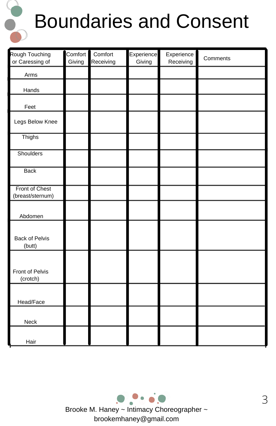

## Boundaries and Consent

| Rough Touching<br>or Caressing of  | Comfort<br>Giving | Comfort<br>Receiving | Experience<br>Giving | Experience<br>Receiving | Comments |
|------------------------------------|-------------------|----------------------|----------------------|-------------------------|----------|
| Arms                               |                   |                      |                      |                         |          |
| Hands                              |                   |                      |                      |                         |          |
| Feet                               |                   |                      |                      |                         |          |
| Legs Below Knee                    |                   |                      |                      |                         |          |
| Thighs                             |                   |                      |                      |                         |          |
| Shoulders                          |                   |                      |                      |                         |          |
| <b>Back</b>                        |                   |                      |                      |                         |          |
| Front of Chest<br>(breast/sternum) |                   |                      |                      |                         |          |
| Abdomen                            |                   |                      |                      |                         |          |
| <b>Back of Pelvis</b><br>(butt)    |                   |                      |                      |                         |          |
| Front of Pelvis<br>(crotch)        |                   |                      |                      |                         |          |
| Head/Face                          |                   |                      |                      |                         |          |
| Neck                               |                   |                      |                      |                         |          |
| Hair                               |                   |                      |                      |                         |          |

Brooke M. Haney ~ Intimacy Choreographer ~ brookemhaney@gmail.com